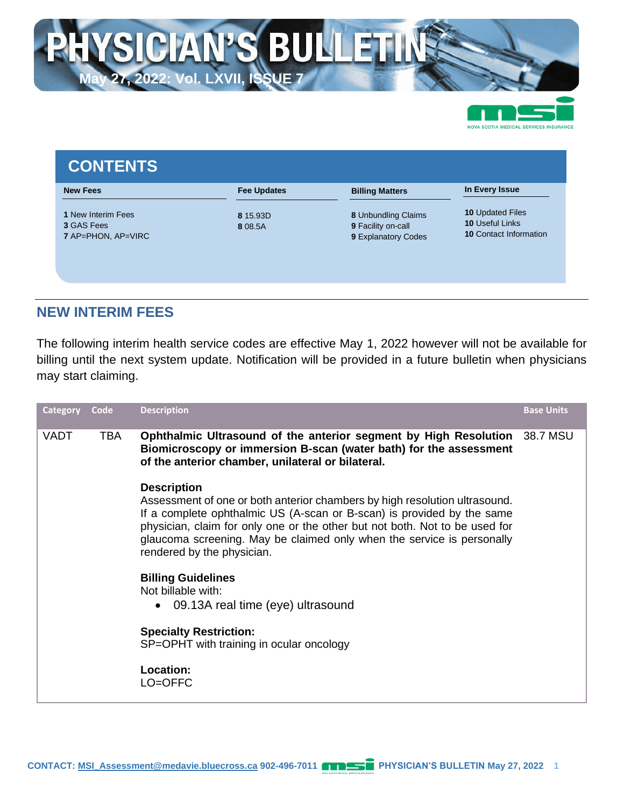

| <b>New Fees</b>                                                             | <b>Fee Updates</b>  | <b>Billing Matters</b>                                           | In Every Issue                                                                     |
|-----------------------------------------------------------------------------|---------------------|------------------------------------------------------------------|------------------------------------------------------------------------------------|
| <b>1 New Interim Fees</b><br><b>3 GAS Fees</b><br><b>7 AP=PHON, AP=VIRC</b> | 8 15.93D<br>8 08.5A | 8 Unbundling Claims<br>9 Facility on-call<br>9 Explanatory Codes | <b>10 Updated Files</b><br><b>10 Useful Links</b><br><b>10 Contact Information</b> |

### **NEW INTERIM FEES**

The following interim health service codes are effective May 1, 2022 however will not be available for billing until the next system update. Notification will be provided in a future bulletin when physicians may start claiming.

| <b>Category</b> | Code | <b>Description</b>                                                                                                                                                                                                                                                                                                                                                | <b>Base Units</b> |
|-----------------|------|-------------------------------------------------------------------------------------------------------------------------------------------------------------------------------------------------------------------------------------------------------------------------------------------------------------------------------------------------------------------|-------------------|
| <b>VADT</b>     | TBA  | Ophthalmic Ultrasound of the anterior segment by High Resolution<br>Biomicroscopy or immersion B-scan (water bath) for the assessment<br>of the anterior chamber, unilateral or bilateral.                                                                                                                                                                        | 38.7 MSU          |
|                 |      | <b>Description</b><br>Assessment of one or both anterior chambers by high resolution ultrasound.<br>If a complete ophthalmic US (A-scan or B-scan) is provided by the same<br>physician, claim for only one or the other but not both. Not to be used for<br>glaucoma screening. May be claimed only when the service is personally<br>rendered by the physician. |                   |
|                 |      | <b>Billing Guidelines</b><br>Not billable with:<br>09.13A real time (eye) ultrasound<br>$\bullet$                                                                                                                                                                                                                                                                 |                   |
|                 |      | <b>Specialty Restriction:</b><br>SP=OPHT with training in ocular oncology                                                                                                                                                                                                                                                                                         |                   |
|                 |      | Location:<br>LO=OFFC                                                                                                                                                                                                                                                                                                                                              |                   |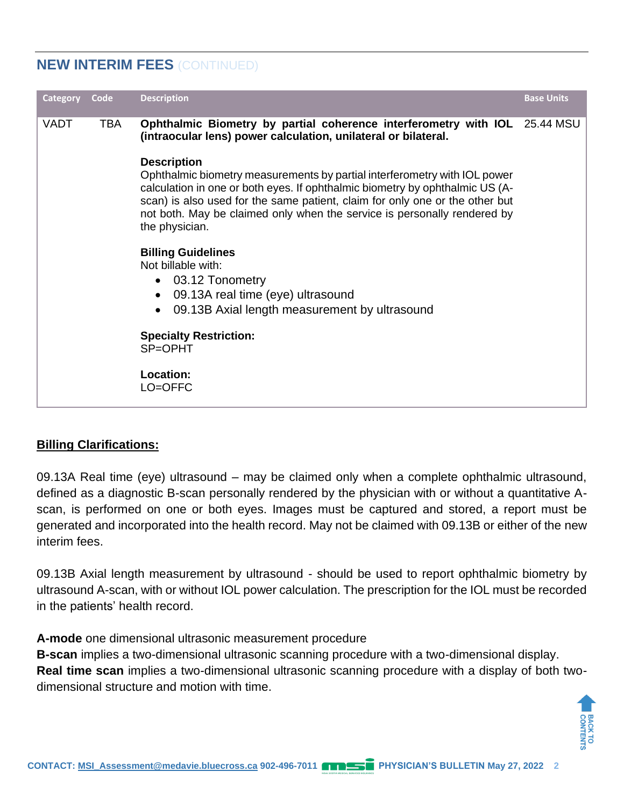# **NEW INTERIM FEES** (CONTINUED)

| <b>Category</b> | Code | <b>Description</b>                                                                                                                                                                                                                                                                                                                                                                                                                                                                                                                                                                                                                                                                                                                                                      | <b>Base Units</b> |
|-----------------|------|-------------------------------------------------------------------------------------------------------------------------------------------------------------------------------------------------------------------------------------------------------------------------------------------------------------------------------------------------------------------------------------------------------------------------------------------------------------------------------------------------------------------------------------------------------------------------------------------------------------------------------------------------------------------------------------------------------------------------------------------------------------------------|-------------------|
| <b>VADT</b>     | TBA  | Ophthalmic Biometry by partial coherence interferometry with IOL 25.44 MSU<br>(intraocular lens) power calculation, unilateral or bilateral.<br><b>Description</b><br>Ophthalmic biometry measurements by partial interferometry with IOL power<br>calculation in one or both eyes. If ophthalmic biometry by ophthalmic US (A-<br>scan) is also used for the same patient, claim for only one or the other but<br>not both. May be claimed only when the service is personally rendered by<br>the physician.<br><b>Billing Guidelines</b><br>Not billable with:<br>03.12 Tonometry<br>$\bullet$<br>09.13A real time (eye) ultrasound<br>$\bullet$<br>09.13B Axial length measurement by ultrasound<br><b>Specialty Restriction:</b><br>SP=OPHT<br>Location:<br>LO=OFFC |                   |

### **Billing Clarifications:**

09.13A Real time (eye) ultrasound – may be claimed only when a complete ophthalmic ultrasound, defined as a diagnostic B-scan personally rendered by the physician with or without a quantitative Ascan, is performed on one or both eyes. Images must be captured and stored, a report must be generated and incorporated into the health record. May not be claimed with 09.13B or either of the new interim fees.

09.13B Axial length measurement by ultrasound - should be used to report ophthalmic biometry by ultrasound A-scan, with or without IOL power calculation. The prescription for the IOL must be recorded in the patients' health record.

**A-mode** one dimensional ultrasonic measurement procedure

**B-scan** implies a two-dimensional ultrasonic scanning procedure with a two-dimensional display. **Real time scan** implies a two-dimensional ultrasonic scanning procedure with a display of both twodimensional structure and motion with time.

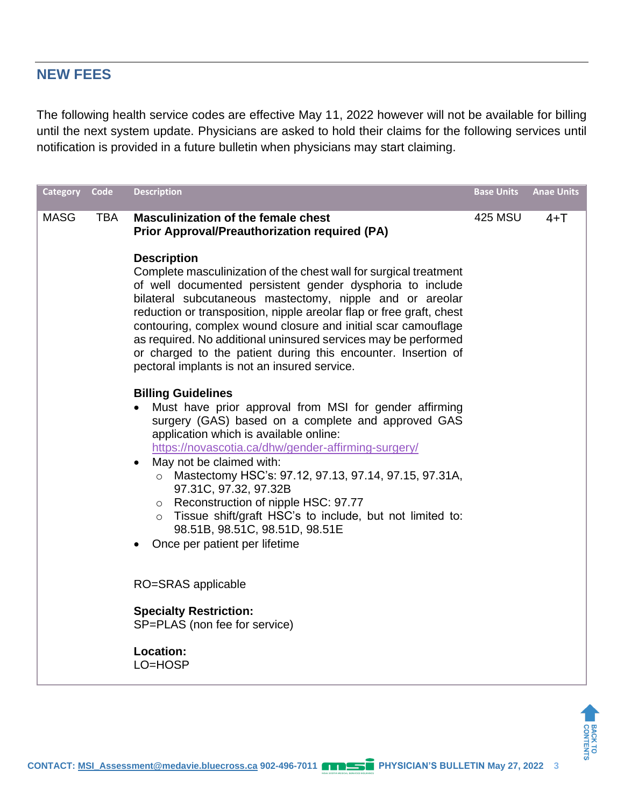## **NEW FEES**

The following health service codes are effective May 11, 2022 however will not be available for billing until the next system update. Physicians are asked to hold their claims for the following services until notification is provided in a future bulletin when physicians may start claiming.

| Category    | Code       | <b>Description</b>                                                                                                                                                                                                                                                                                                                                                                                                                                                                                                                                                           | <b>Base Units</b> | <b>Anae Units</b> |
|-------------|------------|------------------------------------------------------------------------------------------------------------------------------------------------------------------------------------------------------------------------------------------------------------------------------------------------------------------------------------------------------------------------------------------------------------------------------------------------------------------------------------------------------------------------------------------------------------------------------|-------------------|-------------------|
| <b>MASG</b> | <b>TBA</b> | <b>Masculinization of the female chest</b><br><b>Prior Approval/Preauthorization required (PA)</b>                                                                                                                                                                                                                                                                                                                                                                                                                                                                           | <b>425 MSU</b>    | $4+T$             |
|             |            | <b>Description</b><br>Complete masculinization of the chest wall for surgical treatment<br>of well documented persistent gender dysphoria to include<br>bilateral subcutaneous mastectomy, nipple and or areolar<br>reduction or transposition, nipple areolar flap or free graft, chest<br>contouring, complex wound closure and initial scar camouflage<br>as required. No additional uninsured services may be performed<br>or charged to the patient during this encounter. Insertion of<br>pectoral implants is not an insured service.                                 |                   |                   |
|             |            | <b>Billing Guidelines</b><br>Must have prior approval from MSI for gender affirming<br>surgery (GAS) based on a complete and approved GAS<br>application which is available online:<br>https://novascotia.ca/dhw/gender-affirming-surgery/<br>May not be claimed with:<br>$\bullet$<br>Mastectomy HSC's: 97.12, 97.13, 97.14, 97.15, 97.31A,<br>$\circ$<br>97.31C, 97.32, 97.32B<br>Reconstruction of nipple HSC: 97.77<br>$\circ$<br>Tissue shift/graft HSC's to include, but not limited to:<br>$\circ$<br>98.51B, 98.51C, 98.51D, 98.51E<br>Once per patient per lifetime |                   |                   |
|             |            | RO=SRAS applicable                                                                                                                                                                                                                                                                                                                                                                                                                                                                                                                                                           |                   |                   |
|             |            | <b>Specialty Restriction:</b><br>SP=PLAS (non fee for service)                                                                                                                                                                                                                                                                                                                                                                                                                                                                                                               |                   |                   |
|             |            | Location:<br>LO=HOSP                                                                                                                                                                                                                                                                                                                                                                                                                                                                                                                                                         |                   |                   |

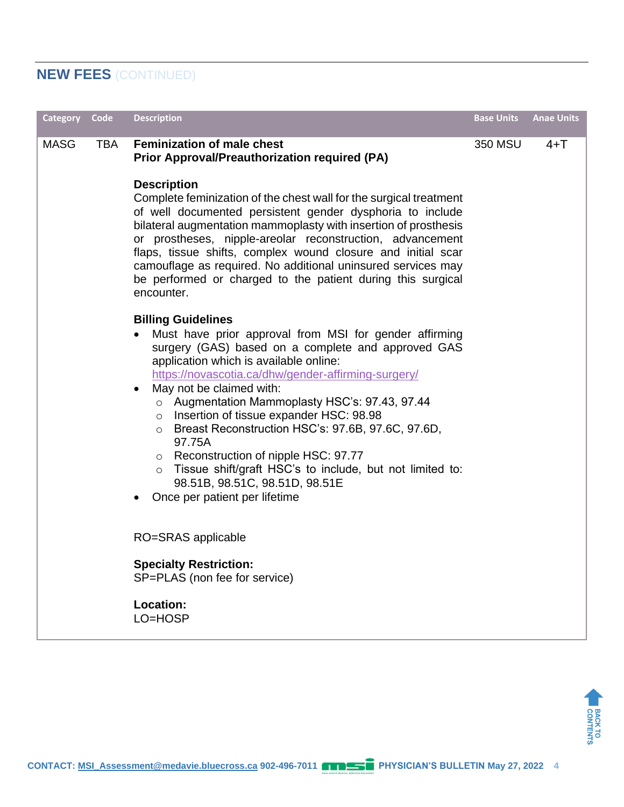# **NEW FEES** (CONTINUED)

| <b>Category</b> | Code       | <b>Description</b>                                                                                                                                                                                                                                                                                                                                                                                                                                                                                                                                                                                                                                                         | <b>Base Units</b> | <b>Anae Units</b> |
|-----------------|------------|----------------------------------------------------------------------------------------------------------------------------------------------------------------------------------------------------------------------------------------------------------------------------------------------------------------------------------------------------------------------------------------------------------------------------------------------------------------------------------------------------------------------------------------------------------------------------------------------------------------------------------------------------------------------------|-------------------|-------------------|
| <b>MASG</b>     | <b>TBA</b> | <b>Feminization of male chest</b><br><b>Prior Approval/Preauthorization required (PA)</b>                                                                                                                                                                                                                                                                                                                                                                                                                                                                                                                                                                                  | 350 MSU           | $4+T$             |
|                 |            | <b>Description</b><br>Complete feminization of the chest wall for the surgical treatment<br>of well documented persistent gender dysphoria to include<br>bilateral augmentation mammoplasty with insertion of prosthesis<br>or prostheses, nipple-areolar reconstruction, advancement<br>flaps, tissue shifts, complex wound closure and initial scar<br>camouflage as required. No additional uninsured services may<br>be performed or charged to the patient during this surgical<br>encounter.                                                                                                                                                                         |                   |                   |
|                 |            | <b>Billing Guidelines</b><br>Must have prior approval from MSI for gender affirming<br>surgery (GAS) based on a complete and approved GAS<br>application which is available online:<br>https://novascotia.ca/dhw/gender-affirming-surgery/<br>May not be claimed with:<br>$\bullet$<br>Augmentation Mammoplasty HSC's: 97.43, 97.44<br>$\circ$<br>Insertion of tissue expander HSC: 98.98<br>$\circ$<br>Breast Reconstruction HSC's: 97.6B, 97.6C, 97.6D,<br>$\circ$<br>97.75A<br>Reconstruction of nipple HSC: 97.77<br>$\circ$<br>Tissue shift/graft HSC's to include, but not limited to:<br>$\circ$<br>98.51B, 98.51C, 98.51D, 98.51E<br>Once per patient per lifetime |                   |                   |
|                 |            | RO=SRAS applicable                                                                                                                                                                                                                                                                                                                                                                                                                                                                                                                                                                                                                                                         |                   |                   |
|                 |            | <b>Specialty Restriction:</b><br>SP=PLAS (non fee for service)                                                                                                                                                                                                                                                                                                                                                                                                                                                                                                                                                                                                             |                   |                   |
|                 |            | Location:<br>LO=HOSP                                                                                                                                                                                                                                                                                                                                                                                                                                                                                                                                                                                                                                                       |                   |                   |

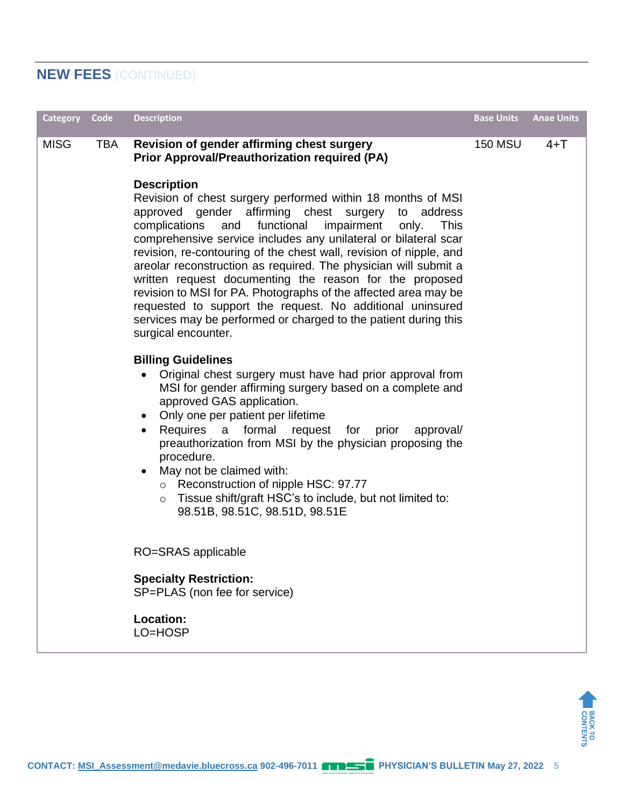# **NEW FEES** (CONTINUED)

| <b>Category</b> | Code       | <b>Description</b>                                                                                                                                                                                                                                                                                                                                                                                                                                                                                                                                                                                                                                                                                                      | <b>Base Units</b> | <b>Anae Units</b> |
|-----------------|------------|-------------------------------------------------------------------------------------------------------------------------------------------------------------------------------------------------------------------------------------------------------------------------------------------------------------------------------------------------------------------------------------------------------------------------------------------------------------------------------------------------------------------------------------------------------------------------------------------------------------------------------------------------------------------------------------------------------------------------|-------------------|-------------------|
| <b>MISG</b>     | <b>TBA</b> | Revision of gender affirming chest surgery<br><b>Prior Approval/Preauthorization required (PA)</b>                                                                                                                                                                                                                                                                                                                                                                                                                                                                                                                                                                                                                      | <b>150 MSU</b>    | $4+T$             |
|                 |            | <b>Description</b><br>Revision of chest surgery performed within 18 months of MSI<br>approved gender affirming chest surgery<br>to address<br>functional<br>complications<br>impairment<br>and<br>only.<br><b>This</b><br>comprehensive service includes any unilateral or bilateral scar<br>revision, re-contouring of the chest wall, revision of nipple, and<br>areolar reconstruction as required. The physician will submit a<br>written request documenting the reason for the proposed<br>revision to MSI for PA. Photographs of the affected area may be<br>requested to support the request. No additional uninsured<br>services may be performed or charged to the patient during this<br>surgical encounter. |                   |                   |
|                 |            | <b>Billing Guidelines</b><br>Original chest surgery must have had prior approval from<br>MSI for gender affirming surgery based on a complete and<br>approved GAS application.<br>• Only one per patient per lifetime<br>Requires a formal request for prior<br>approval/<br>$\bullet$<br>preauthorization from MSI by the physician proposing the<br>procedure.<br>May not be claimed with:<br>$\bullet$<br>o Reconstruction of nipple HSC: 97.77<br>$\circ$ Tissue shift/graft HSC's to include, but not limited to:<br>98.51B, 98.51C, 98.51D, 98.51E                                                                                                                                                                |                   |                   |
|                 |            | RO=SRAS applicable                                                                                                                                                                                                                                                                                                                                                                                                                                                                                                                                                                                                                                                                                                      |                   |                   |
|                 |            | <b>Specialty Restriction:</b><br>SP=PLAS (non fee for service)                                                                                                                                                                                                                                                                                                                                                                                                                                                                                                                                                                                                                                                          |                   |                   |
|                 |            | <b>Location:</b><br>LO=HOSP                                                                                                                                                                                                                                                                                                                                                                                                                                                                                                                                                                                                                                                                                             |                   |                   |

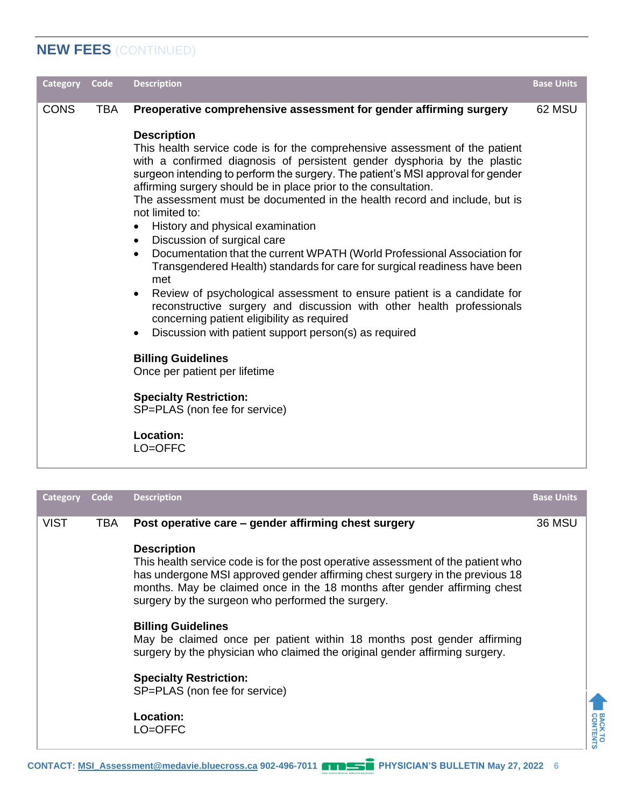# **NEW FEES** (CONTINUED)

| Category<br>Code          | <b>Description</b>                                                                                                                                                                                                                                                                                                                                                                                                                                                                                                                                                                                                                                                                                                                                                                                                                                                                                                                                                                                                                                                                                                                                                                                      | <b>Base Units</b> |
|---------------------------|---------------------------------------------------------------------------------------------------------------------------------------------------------------------------------------------------------------------------------------------------------------------------------------------------------------------------------------------------------------------------------------------------------------------------------------------------------------------------------------------------------------------------------------------------------------------------------------------------------------------------------------------------------------------------------------------------------------------------------------------------------------------------------------------------------------------------------------------------------------------------------------------------------------------------------------------------------------------------------------------------------------------------------------------------------------------------------------------------------------------------------------------------------------------------------------------------------|-------------------|
| <b>CONS</b><br><b>TBA</b> | Preoperative comprehensive assessment for gender affirming surgery<br><b>Description</b><br>This health service code is for the comprehensive assessment of the patient<br>with a confirmed diagnosis of persistent gender dysphoria by the plastic<br>surgeon intending to perform the surgery. The patient's MSI approval for gender<br>affirming surgery should be in place prior to the consultation.<br>The assessment must be documented in the health record and include, but is<br>not limited to:<br>History and physical examination<br>Discussion of surgical care<br>$\bullet$<br>Documentation that the current WPATH (World Professional Association for<br>$\bullet$<br>Transgendered Health) standards for care for surgical readiness have been<br>met<br>Review of psychological assessment to ensure patient is a candidate for<br>$\bullet$<br>reconstructive surgery and discussion with other health professionals<br>concerning patient eligibility as required<br>Discussion with patient support person(s) as required<br><b>Billing Guidelines</b><br>Once per patient per lifetime<br><b>Specialty Restriction:</b><br>SP=PLAS (non fee for service)<br>Location:<br>LO=OFFC | 62 MSU            |

| <b>VIST</b><br>Post operative care – gender affirming chest surgery<br>TBA<br><b>36 MSU</b><br><b>Description</b><br>This health service code is for the post operative assessment of the patient who<br>has undergone MSI approved gender affirming chest surgery in the previous 18<br>months. May be claimed once in the 18 months after gender affirming chest<br>surgery by the surgeon who performed the surgery.<br><b>Billing Guidelines</b><br>May be claimed once per patient within 18 months post gender affirming<br>surgery by the physician who claimed the original gender affirming surgery.<br><b>Specialty Restriction:</b><br>SP=PLAS (non fee for service)<br><b>Location:</b><br>LO=OFFC | Category | Code | <b>Description</b> | <b>Base Units</b> |
|----------------------------------------------------------------------------------------------------------------------------------------------------------------------------------------------------------------------------------------------------------------------------------------------------------------------------------------------------------------------------------------------------------------------------------------------------------------------------------------------------------------------------------------------------------------------------------------------------------------------------------------------------------------------------------------------------------------|----------|------|--------------------|-------------------|
|                                                                                                                                                                                                                                                                                                                                                                                                                                                                                                                                                                                                                                                                                                                |          |      |                    |                   |

BACK TO<br>CONTENTS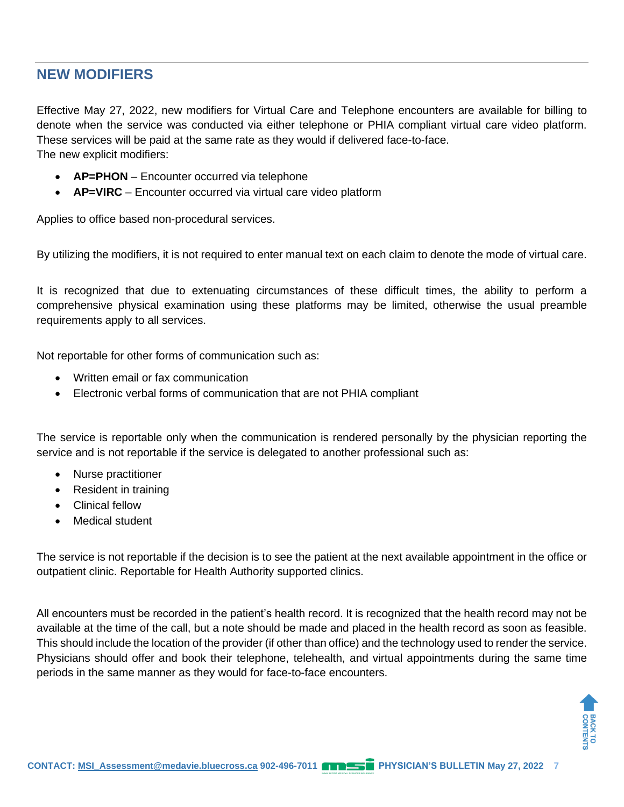## **NEW MODIFIERS**

Effective May 27, 2022, new modifiers for Virtual Care and Telephone encounters are available for billing to denote when the service was conducted via either telephone or PHIA compliant virtual care video platform. These services will be paid at the same rate as they would if delivered face-to-face. The new explicit modifiers:

- **AP=PHON** Encounter occurred via telephone
- **AP=VIRC** Encounter occurred via virtual care video platform

Applies to office based non-procedural services.

By utilizing the modifiers, it is not required to enter manual text on each claim to denote the mode of virtual care.

It is recognized that due to extenuating circumstances of these difficult times, the ability to perform a comprehensive physical examination using these platforms may be limited, otherwise the usual preamble requirements apply to all services.

Not reportable for other forms of communication such as:

- Written email or fax communication
- Electronic verbal forms of communication that are not PHIA compliant

The service is reportable only when the communication is rendered personally by the physician reporting the service and is not reportable if the service is delegated to another professional such as:

- Nurse practitioner
- Resident in training
- Clinical fellow
- Medical student

The service is not reportable if the decision is to see the patient at the next available appointment in the office or outpatient clinic. Reportable for Health Authority supported clinics.

All encounters must be recorded in the patient's health record. It is recognized that the health record may not be available at the time of the call, but a note should be made and placed in the health record as soon as feasible. This should include the location of the provider (if other than office) and the technology used to render the service. Physicians should offer and book their telephone, telehealth, and virtual appointments during the same time periods in the same manner as they would for face-to-face encounters.

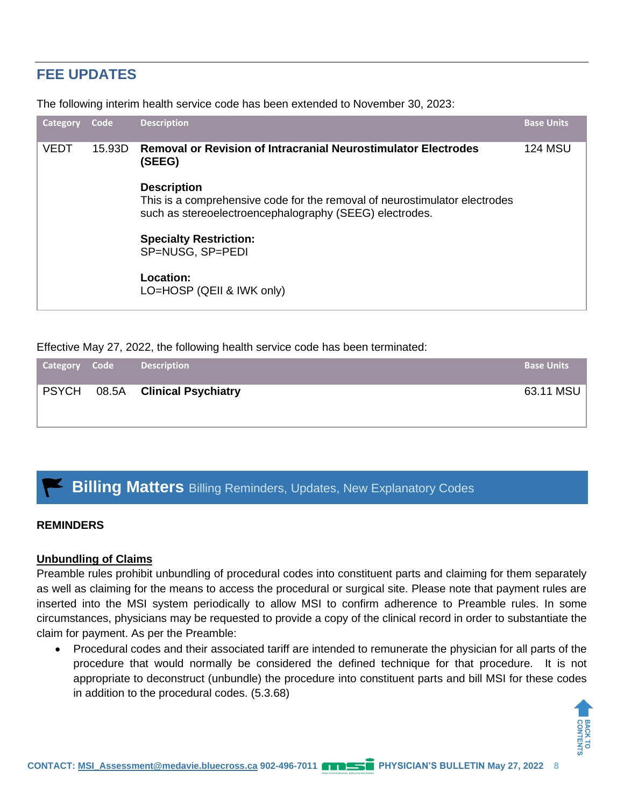# **FEE UPDATES**

The following interim health service code has been extended to November 30, 2023:

| Category    | Code   | <b>Description</b>                                                                                                                                          | <b>Base Units</b> |
|-------------|--------|-------------------------------------------------------------------------------------------------------------------------------------------------------------|-------------------|
| <b>VEDT</b> | 15.93D | <b>Removal or Revision of Intracranial Neurostimulator Electrodes</b><br>(SEEG)                                                                             | <b>124 MSU</b>    |
|             |        | <b>Description</b><br>This is a comprehensive code for the removal of neurostimulator electrodes<br>such as stereoelectroencephalography (SEEG) electrodes. |                   |
|             |        | <b>Specialty Restriction:</b><br>SP=NUSG, SP=PEDI                                                                                                           |                   |
|             |        | Location:<br>LO=HOSP (QEII & IWK only)                                                                                                                      |                   |

Effective May 27, 2022, the following health service code has been terminated:

| Category Code | <b>Description</b>                            | <b>Base Units</b> |
|---------------|-----------------------------------------------|-------------------|
|               | <b>PSYCH</b> 08.5A <b>Clinical Psychiatry</b> | 63.11 MSU         |

# **Billing Matters** Billing Reminders, Updates, New Explanatory Codes

### **REMINDERS**

### **Unbundling of Claims**

Preamble rules prohibit unbundling of procedural codes into constituent parts and claiming for them separately as well as claiming for the means to access the procedural or surgical site. Please note that payment rules are inserted into the MSI system periodically to allow MSI to confirm adherence to Preamble rules. In some circumstances, physicians may be requested to provide a copy of the clinical record in order to substantiate the claim for payment. As per the Preamble:

• Procedural codes and their associated tariff are intended to remunerate the physician for all parts of the procedure that would normally be considered the defined technique for that procedure. It is not appropriate to deconstruct (unbundle) the procedure into constituent parts and bill MSI for these codes in addition to the procedural codes. (5.3.68)

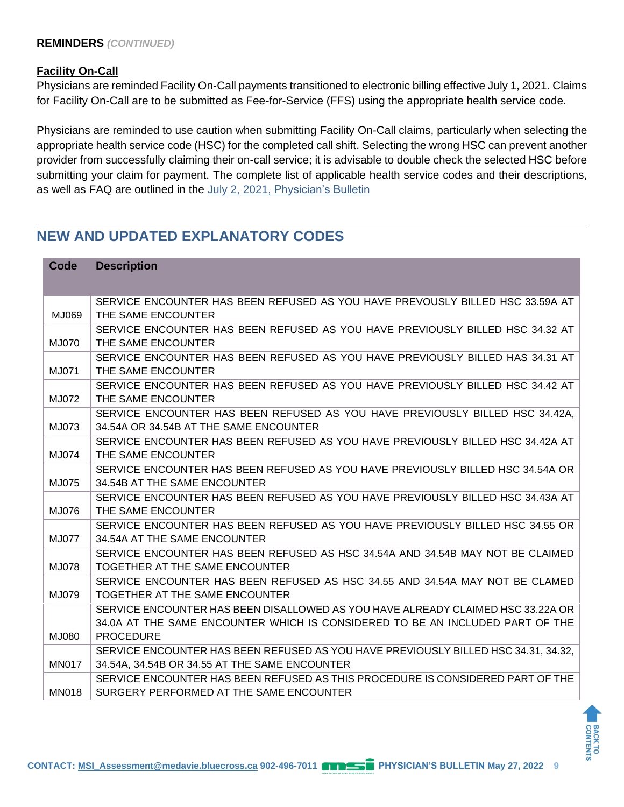### **Facility On-Call**

Physicians are reminded Facility On-Call payments transitioned to electronic billing effective July 1, 2021. Claims for Facility On-Call are to be submitted as Fee-for-Service (FFS) using the appropriate health service code.

Physicians are reminded to use caution when submitting Facility On-Call claims, particularly when selecting the appropriate health service code (HSC) for the completed call shift. Selecting the wrong HSC can prevent another provider from successfully claiming their on-call service; it is advisable to double check the selected HSC before submitting your claim for payment. The complete list of applicable health service codes and their descriptions, as well as FAQ are outlined in the July 2, 2021, [Physician's Bulletin](http://msi.medavie.bluecross.ca/wp-content/uploads/sites/3/2021/09/July-2021-Facility-On-Call-Physicians-Bulletin-v2-1.pdf)

# **NEW AND UPDATED EXPLANATORY CODES**

| Code         | <b>Description</b>                                                                                             |
|--------------|----------------------------------------------------------------------------------------------------------------|
|              |                                                                                                                |
|              | SERVICE ENCOUNTER HAS BEEN REFUSED AS YOU HAVE PREVOUSLY BILLED HSC 33.59A AT                                  |
| MJ069        | THE SAME ENCOUNTER                                                                                             |
|              | SERVICE ENCOUNTER HAS BEEN REFUSED AS YOU HAVE PREVIOUSLY BILLED HSC 34.32 AT                                  |
| MJ070        | THE SAME ENCOUNTER                                                                                             |
|              | SERVICE ENCOUNTER HAS BEEN REFUSED AS YOU HAVE PREVIOUSLY BILLED HAS 34.31 AT                                  |
| MJ071        | THE SAME ENCOUNTER                                                                                             |
|              | SERVICE ENCOUNTER HAS BEEN REFUSED AS YOU HAVE PREVIOUSLY BILLED HSC 34.42 AT                                  |
| MJ072        | THE SAME ENCOUNTER                                                                                             |
|              | SERVICE ENCOUNTER HAS BEEN REFUSED AS YOU HAVE PREVIOUSLY BILLED HSC 34.42A.                                   |
| MJ073        | 34.54A OR 34.54B AT THE SAME ENCOUNTER                                                                         |
|              | SERVICE ENCOUNTER HAS BEEN REFUSED AS YOU HAVE PREVIOUSLY BILLED HSC 34.42A AT                                 |
| MJ074        | THE SAME ENCOUNTER                                                                                             |
|              | SERVICE ENCOUNTER HAS BEEN REFUSED AS YOU HAVE PREVIOUSLY BILLED HSC 34.54A OR                                 |
| MJ075        | 34.54B AT THE SAME ENCOUNTER<br>SERVICE ENCOUNTER HAS BEEN REFUSED AS YOU HAVE PREVIOUSLY BILLED HSC 34.43A AT |
| MJ076        | THE SAME ENCOUNTER                                                                                             |
|              | SERVICE ENCOUNTER HAS BEEN REFUSED AS YOU HAVE PREVIOUSLY BILLED HSC 34.55 OR                                  |
| MJ077        | 34.54A AT THE SAME ENCOUNTER                                                                                   |
|              | SERVICE ENCOUNTER HAS BEEN REFUSED AS HSC 34.54A AND 34.54B MAY NOT BE CLAIMED                                 |
| <b>MJ078</b> | TOGETHER AT THE SAME ENCOUNTER                                                                                 |
|              | SERVICE ENCOUNTER HAS BEEN REFUSED AS HSC 34.55 AND 34.54A MAY NOT BE CLAMED                                   |
| MJ079        | TOGETHER AT THE SAME ENCOUNTER                                                                                 |
|              | SERVICE ENCOUNTER HAS BEEN DISALLOWED AS YOU HAVE ALREADY CLAIMED HSC 33.22A OR                                |
|              | 34.0A AT THE SAME ENCOUNTER WHICH IS CONSIDERED TO BE AN INCLUDED PART OF THE                                  |
| MJ080        | <b>PROCEDURE</b>                                                                                               |
|              | SERVICE ENCOUNTER HAS BEEN REFUSED AS YOU HAVE PREVIOUSLY BILLED HSC 34.31, 34.32,                             |
| <b>MN017</b> | 34.54A, 34.54B OR 34.55 AT THE SAME ENCOUNTER                                                                  |
|              | SERVICE ENCOUNTER HAS BEEN REFUSED AS THIS PROCEDURE IS CONSIDERED PART OF THE                                 |
| <b>MN018</b> | SURGERY PERFORMED AT THE SAME ENCOUNTER                                                                        |

BACK TO<br>CONTENTS